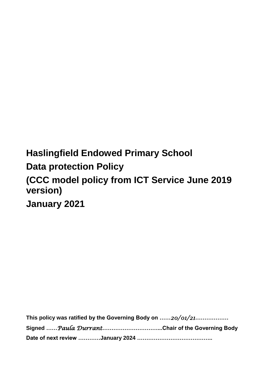# **Haslingfield Endowed Primary School Data protection Policy (CCC model policy from ICT Service June 2019 version) January 2021**

| This policy was ratified by the Governing Body on $\ldots 20/01/21 \ldots$ |  |  |
|----------------------------------------------------------------------------|--|--|
| Signed  Paula DurrantChair of the Governing Body                           |  |  |
|                                                                            |  |  |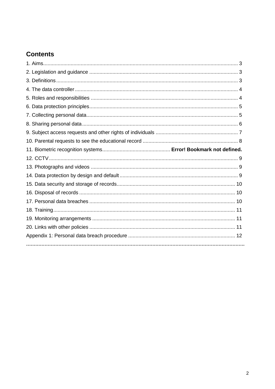# **Contents**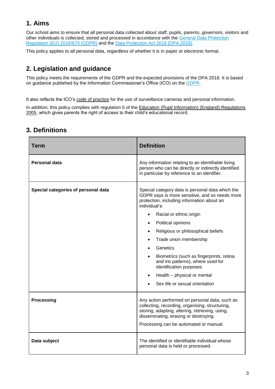# **1. Aims**

Our school aims to ensure that all personal data collected about staff, pupils, parents, governors, visitors and other individuals is collected, stored and processed in accordance with the [General Data Protection](https://eur-lex.europa.eu/legal-content/EN/TXT/?qid=1528874672298&uri=CELEX:02016R0679-20160504)  [Regulation \(EU\) 2016/679 \(GDPR\)](https://eur-lex.europa.eu/legal-content/EN/TXT/?qid=1528874672298&uri=CELEX:02016R0679-20160504) and the [Data Protection Act 2018 \(DPA 2018\).](http://www.legislation.gov.uk/ukpga/2018/12/contents/enacted)

This policy applies to all personal data, regardless of whether it is in paper or electronic format.

# **2. Legislation and guidance**

This policy meets the requirements of the GDPR and the expected provisions of the DPA 2018. It is based on guidance published by the Information Commissioner's Office (ICO) on the [GDPR.](https://ico.org.uk/for-organisations/guide-to-the-general-data-protection-regulation-gdpr/)

It also reflects the ICO's [code of practice](https://ico.org.uk/media/for-organisations/documents/1542/cctv-code-of-practice.pdf) for the use of surveillance cameras and personal information.

In addition, this policy complies with regulation 5 of the [Education \(Pupil Information\) \(England\) Regulations](http://www.legislation.gov.uk/uksi/2005/1437/regulation/5/made)  [2005,](http://www.legislation.gov.uk/uksi/2005/1437/regulation/5/made) which gives parents the right of access to their child's educational record.

| <b>Term</b>                         | <b>Definition</b>                                                                                                                                                                                                                                                                                                                                                                                                                                                                                                   |
|-------------------------------------|---------------------------------------------------------------------------------------------------------------------------------------------------------------------------------------------------------------------------------------------------------------------------------------------------------------------------------------------------------------------------------------------------------------------------------------------------------------------------------------------------------------------|
| <b>Personal data</b>                | Any information relating to an identifiable living<br>person who can be directly or indirectly identified<br>in particular by reference to an identifier.                                                                                                                                                                                                                                                                                                                                                           |
| Special categories of personal data | Special category data is personal data which the<br>GDPR says is more sensitive, and so needs more<br>protection, including information about an<br>individual's:<br>Racial or ethnic origin<br>Political opinions<br>$\bullet$<br>Religious or philosophical beliefs<br>$\bullet$<br>Trade union membership<br>$\bullet$<br>Genetics<br>Biometrics (such as fingerprints, retina<br>and iris patterns), where used for<br>identification purposes<br>Health - physical or mental<br>Sex life or sexual orientation |
| <b>Processing</b>                   | Any action performed on personal data, such as<br>collecting, recording, organising, structuring,<br>storing, adapting, altering, retrieving, using,<br>disseminating, erasing or destroying.<br>Processing can be automated or manual.                                                                                                                                                                                                                                                                             |
| Data subject                        | The identified or identifiable individual whose<br>personal data is held or processed.                                                                                                                                                                                                                                                                                                                                                                                                                              |

### **3. Definitions**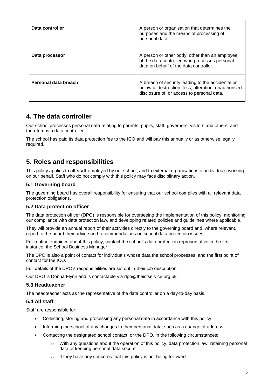| Data controller      | A person or organisation that determines the<br>purposes and the means of processing of<br>personal data.                                               |
|----------------------|---------------------------------------------------------------------------------------------------------------------------------------------------------|
| Data processor       | A person or other body, other than an employee<br>of the data controller, who processes personal<br>data on behalf of the data controller.              |
| Personal data breach | A breach of security leading to the accidental or<br>unlawful destruction, loss, alteration, unauthorised<br>disclosure of, or access to personal data. |

### **4. The data controller**

Our school processes personal data relating to parents, pupils, staff, governors, visitors and others, and therefore is a data controller.

The school has paid its data protection fee to the ICO and will pay this annually or as otherwise legally required.

### **5. Roles and responsibilities**

This policy applies to **all staff** employed by our school, and to external organisations or individuals working on our behalf. Staff who do not comply with this policy may face disciplinary action.

#### **5.1 Governing board**

The governing board has overall responsibility for ensuring that our school complies with all relevant data protection obligations.

#### **5.2 Data protection officer**

The data protection officer (DPO) is responsible for overseeing the implementation of this policy, monitoring our compliance with data protection law, and developing related policies and guidelines where applicable.

They will provide an annual report of their activities directly to the governing board and, where relevant, report to the board their advice and recommendations on school data protection issues.

For routine enquiries about this policy, contact the school's data protection representative in the first instance, the School Business Manager.

The DPO is also a point of contact for individuals whose data the school processes, and the first point of contact for the ICO.

Full details of the DPO's responsibilities are set out in their job description.

Our DPO is Donna Flynn and is contactable via dpo@theictservice.org.uk.

#### **5.3 Headteacher**

The headteacher acts as the representative of the data controller on a day-to-day basis.

#### **5.4 All staff**

Staff are responsible for:

- Collecting, storing and processing any personal data in accordance with this policy
- Informing the school of any changes to their personal data, such as a change of address
- Contacting the designated school contact, or the DPO, in the following circumstances:
	- $\circ$  With any questions about the operation of this policy, data protection law, retaining personal data or keeping personal data secure
	- o If they have any concerns that this policy is not being followed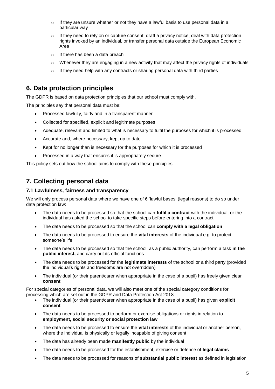- o If they are unsure whether or not they have a lawful basis to use personal data in a particular way
- $\circ$  If they need to rely on or capture consent, draft a privacy notice, deal with data protection rights invoked by an individual, or transfer personal data outside the European Economic Area
- o If there has been a data breach
- $\circ$  Whenever they are engaging in a new activity that may affect the privacy rights of individuals
- o If they need help with any contracts or sharing personal data with third parties

### **6. Data protection principles**

The GDPR is based on data protection principles that our school must comply with.

The principles say that personal data must be:

- Processed lawfully, fairly and in a transparent manner
- Collected for specified, explicit and legitimate purposes
- Adequate, relevant and limited to what is necessary to fulfil the purposes for which it is processed
- Accurate and, where necessary, kept up to date
- Kept for no longer than is necessary for the purposes for which it is processed
- Processed in a way that ensures it is appropriately secure

This policy sets out how the school aims to comply with these principles.

### **7. Collecting personal data**

#### **7.1 Lawfulness, fairness and transparency**

We will only process personal data where we have one of 6 'lawful bases' (legal reasons) to do so under data protection law:

- The data needs to be processed so that the school can **fulfil a contract** with the individual, or the individual has asked the school to take specific steps before entering into a contract
- The data needs to be processed so that the school can **comply with a legal obligation**
- The data needs to be processed to ensure the **vital interests** of the individual e.g. to protect someone's life
- The data needs to be processed so that the school, as a public authority, can perform a task **in the public interest,** and carry out its official functions
- The data needs to be processed for the **legitimate interests** of the school or a third party (provided the individual's rights and freedoms are not overridden)
- The individual (or their parent/carer when appropriate in the case of a pupil) has freely given clear **consent**

For special categories of personal data, we will also meet one of the special category conditions for processing which are set out in the GDPR and Data Protection Act 2018.

- The individual (or their parent/carer when appropriate in the case of a pupil) has given **explicit consent**
- The data needs to be processed to perform or exercise obligations or rights in relation to **employment, social security or social protection law**
- The data needs to be processed to ensure the **vital interests** of the individual or another person, where the individual is physically or legally incapable of giving consent
- The data has already been made **manifestly public** by the individual
- The data needs to be processed for the establishment, exercise or defence of **legal claims**
- The data needs to be processed for reasons of **substantial public interest** as defined in legislation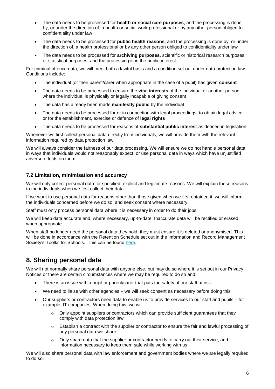- The data needs to be processed for **health or social care purposes**, and the processing is done by, or under the direction of, a health or social work professional or by any other person obliged to confidentiality under law
- The data needs to be processed for **public health reasons**, and the processing is done by, or under the direction of, a health professional or by any other person obliged to confidentiality under law
- The data needs to be processed for **archiving purposes**, scientific or historical research purposes, or statistical purposes, and the processing is in the public interest

For criminal offence data, we will meet both a lawful basis and a condition set out under data protection law. Conditions include:

- The individual (or their parent/carer when appropriate in the case of a pupil) has given **consent**
- The data needs to be processed to ensure the **vital interests** of the individual or another person, where the individual is physically or legally incapable of giving consent
- The data has already been made **manifestly public** by the individual
- The data needs to be processed for or in connection with legal proceedings, to obtain legal advice, or for the establishment, exercise or defence of **legal rights**
- The data needs to be processed for reasons of **substantial public interest** as defined in legislation

Whenever we first collect personal data directly from individuals, we will provide them with the relevant information required by data protection law.

We will always consider the fairness of our data processing. We will ensure we do not handle personal data in ways that individuals would not reasonably expect, or use personal data in ways which have unjustified adverse effects on them.

#### **7.2 Limitation, minimisation and accuracy**

We will only collect personal data for specified, explicit and legitimate reasons. We will explain these reasons to the individuals when we first collect their data.

If we want to use personal data for reasons other than those given when we first obtained it, we will inform the individuals concerned before we do so, and seek consent where necessary.

Staff must only process personal data where it is necessary in order to do their jobs.

We will keep data accurate and, where necessary, up-to-date. Inaccurate data will be rectified or erased when appropriate.

When staff no longer need the personal data they hold, they must ensure it is deleted or anonymised. This will be done in accordance with the Retention Schedule set out in the Information and Record Management Society's Toolkit for Schools. This can be found [here.](http://irms.org.uk/?page=schoolstoolkit&terms=%22toolkit+and+schools%22)

### **8. Sharing personal data**

We will not normally share personal data with anyone else, but may do so where it is set out in our Privacy Notices or there are certain circumstances where we may be required to do so and:

- There is an issue with a pupil or parent/carer that puts the safety of our staff at risk
- We need to liaise with other agencies we will seek consent as necessary before doing this
- Our suppliers or contractors need data to enable us to provide services to our staff and pupils for example, IT companies. When doing this, we will:
	- $\circ$  Only appoint suppliers or contractors which can provide sufficient guarantees that they comply with data protection law
	- $\circ$  Establish a contract with the supplier or contractor to ensure the fair and lawful processing of any personal data we share
	- $\circ$  Only share data that the supplier or contractor needs to carry out their service, and information necessary to keep them safe while working with us

We will also share personal data with law enforcement and government bodies where we are legally required to do so.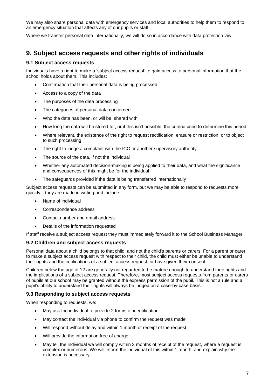We may also share personal data with emergency services and local authorities to help them to respond to an emergency situation that affects any of our pupils or staff.

Where we transfer personal data internationally, we will do so in accordance with data protection law.

### **9. Subject access requests and other rights of individuals**

#### **9.1 Subject access requests**

Individuals have a right to make a 'subject access request' to gain access to personal information that the school holds about them. This includes:

- Confirmation that their personal data is being processed
- Access to a copy of the data
- The purposes of the data processing
- The categories of personal data concerned
- Who the data has been, or will be, shared with
- How long the data will be stored for, or if this isn't possible, the criteria used to determine this period
- Where relevant, the existence of the right to request rectification, erasure or restriction, or to object to such processing
- The right to lodge a complaint with the ICO or another supervisory authority
- The source of the data, if not the individual
- Whether any automated decision-making is being applied to their data, and what the significance and consequences of this might be for the individual
- The safeguards provided if the data is being transferred internationally

Subject access requests can be submitted in any form, but we may be able to respond to requests more quickly if they are made in writing and include:

- Name of individual
- Correspondence address
- Contact number and email address
- Details of the information requested

If staff receive a subject access request they must immediately forward it to the School Business Manager.

#### **9.2 Children and subject access requests**

Personal data about a child belongs to that child, and not the child's parents or carers. For a parent or carer to make a subject access request with respect to their child, the child must either be unable to understand their rights and the implications of a subject access request, or have given their consent.

Children below the age of 12 are generally not regarded to be mature enough to understand their rights and the implications of a subject access request. Therefore, most subject access requests from parents or carers of pupils at our school may be granted without the express permission of the pupil. This is not a rule and a pupil's ability to understand their rights will always be judged on a case-by-case basis.

#### **9.3 Responding to subject access requests**

When responding to requests, we:

- May ask the individual to provide 2 forms of identification
- May contact the individual via phone to confirm the request was made
- Will respond without delay and within 1 month of receipt of the request
- Will provide the information free of charge
- May tell the individual we will comply within 3 months of receipt of the request, where a request is complex or numerous. We will inform the individual of this within 1 month, and explain why the extension is necessary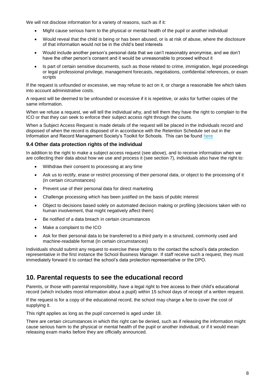We will not disclose information for a variety of reasons, such as if it:

- Might cause serious harm to the physical or mental health of the pupil or another individual
- Would reveal that the child is being or has been abused, or is at risk of abuse, where the disclosure of that information would not be in the child's best interests
- Would include another person's personal data that we can't reasonably anonymise, and we don't have the other person's consent and it would be unreasonable to proceed without it
- Is part of certain sensitive documents, such as those related to crime, immigration, legal proceedings or legal professional privilege, management forecasts, negotiations, confidential references, or exam scripts

If the request is unfounded or excessive, we may refuse to act on it, or charge a reasonable fee which takes into account administrative costs.

A request will be deemed to be unfounded or excessive if it is repetitive, or asks for further copies of the same information.

When we refuse a request, we will tell the individual why, and tell them they have the right to complain to the ICO or that they can seek to enforce their subject access right through the courts.

When a Subject Access Request is made details of the request will be placed in the individuals record and disposed of when the record is disposed of in accordance with the Retention Schedule set out in the Information and Record Management Society's Toolkit for Schools. This can be found [here](http://irms.org.uk/?page=schoolstoolkit&terms=%22toolkit+and+schools%22)

#### **9.4 Other data protection rights of the individual**

In addition to the right to make a subject access request (see above), and to receive information when we are collecting their data about how we use and process it (see section 7), individuals also have the right to:

- Withdraw their consent to processing at any time
- Ask us to rectify, erase or restrict processing of their personal data, or object to the processing of it (in certain circumstances)
- Prevent use of their personal data for direct marketing
- Challenge processing which has been justified on the basis of public interest
- Object to decisions based solely on automated decision making or profiling (decisions taken with no human involvement, that might negatively affect them)
- Be notified of a data breach in certain circumstances
- Make a complaint to the ICO
- Ask for their personal data to be transferred to a third party in a structured, commonly used and machine-readable format (in certain circumstances)

Individuals should submit any request to exercise these rights to the contact the school's data protection representative in the first instance the School Business Manager. If staff receive such a request, they must immediately forward it to contact the school's data protection representative or the DPO.

### **10. Parental requests to see the educational record**

Parents, or those with parental responsibility, have a legal right to free access to their child's educational record (which includes most information about a pupil) within 15 school days of receipt of a written request.

If the request is for a copy of the educational record, the school may charge a fee to cover the cost of supplying it.

This right applies as long as the pupil concerned is aged under 18.

There are certain circumstances in which this right can be denied, such as if releasing the information might cause serious harm to the physical or mental health of the pupil or another individual, or if it would mean releasing exam marks before they are officially announced.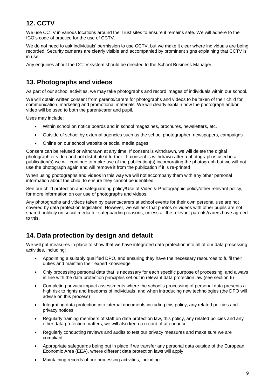# **12. CCTV**

We use CCTV in various locations around the Trust sites to ensure it remains safe. We will adhere to the ICO's [code of practice](https://ico.org.uk/media/for-organisations/documents/1542/cctv-code-of-practice.pdf) for the use of CCTV.

We do not need to ask individuals' permission to use CCTV, but we make it clear where individuals are being recorded. Security cameras are clearly visible and accompanied by prominent signs explaining that CCTV is in use.

Any enquiries about the CCTV system should be directed to the School Business Manager.

### **13. Photographs and videos**

As part of our school activities, we may take photographs and record images of individuals within our school.

We will obtain written consent from parents/carers for photographs and videos to be taken of their child for communication, marketing and promotional materials. We will clearly explain how the photograph and/or video will be used to both the parent/carer and pupil.

Uses may include:

- Within school on notice boards and in school magazines, brochures, newsletters, etc.
- Outside of school by external agencies such as the school photographer, newspapers, campaigns
- Online on our school website or social media pages

Consent can be refused or withdrawn at any time. If consent is withdrawn, we will delete the digital photograph or video and not distribute it further. If consent is withdrawn after a photograph is used in a publication(s) we will continue to make use of the publication(s) incorporating the photograph but we will not use the photograph again and will remove it from the publication if it is re-printed

When using photographs and videos in this way we will not accompany them with any other personal information about the child, to ensure they cannot be identified.

See our child protection and safeguarding policy/Use of Video & Photographic policy/other relevant policy, for more information on our use of photographs and videos.

Any photographs and videos taken by parents/carers at school events for their own personal use are not covered by data protection legislation. However, we will ask that photos or videos with other pupils are not shared publicly on social media for safeguarding reasons, unless all the relevant parents/carers have agreed to this.

### **14. Data protection by design and default**

We will put measures in place to show that we have integrated data protection into all of our data processing activities, including:

- Appointing a suitably qualified DPO, and ensuring they have the necessary resources to fulfil their duties and maintain their expert knowledge
- Only processing personal data that is necessary for each specific purpose of processing, and always in line with the data protection principles set out in relevant data protection law (see section 6)
- Completing privacy impact assessments where the school's processing of personal data presents a high risk to rights and freedoms of individuals, and when introducing new technologies (the DPO will advise on this process)
- Integrating data protection into internal documents including this policy, any related policies and privacy notices
- Regularly training members of staff on data protection law, this policy, any related policies and any other data protection matters; we will also keep a record of attendance
- Regularly conducting reviews and audits to test our privacy measures and make sure we are compliant
- Appropriate safeguards being put in place if we transfer any personal data outside of the European Economic Area (EEA), where different data protection laws will apply
- Maintaining records of our processing activities, including: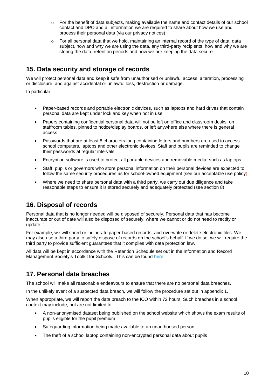- $\circ$  For the benefit of data subjects, making available the name and contact details of our school contact and DPO and all information we are required to share about how we use and process their personal data (via our privacy notices)
- $\circ$  For all personal data that we hold, maintaining an internal record of the type of data, data subject, how and why we are using the data, any third-party recipients, how and why we are storing the data, retention periods and how we are keeping the data secure

### **15. Data security and storage of records**

We will protect personal data and keep it safe from unauthorised or unlawful access, alteration, processing or disclosure, and against accidental or unlawful loss, destruction or damage.

In particular:

- Paper-based records and portable electronic devices, such as laptops and hard drives that contain personal data are kept under lock and key when not in use
- Papers containing confidential personal data will not be left on office and classroom desks, on staffroom tables, pinned to notice/display boards, or left anywhere else where there is general access
- Passwords that are at least 8 characters long containing letters and numbers are used to access school computers, laptops and other electronic devices. Staff and pupils are reminded to change their passwords at regular intervals
- Encryption software is used to protect all portable devices and removable media, such as laptops.
- Staff, pupils or governors who store personal information on their personal devices are expected to follow the same security procedures as for school-owned equipment (see our acceptable use policy)
- Where we need to share personal data with a third party, we carry out due diligence and take reasonable steps to ensure it is stored securely and adequately protected (see section 8)

### **16. Disposal of records**

Personal data that is no longer needed will be disposed of securely. Personal data that has become inaccurate or out of date will also be disposed of securely, where we cannot or do not need to rectify or update it.

For example, we will shred or incinerate paper-based records, and overwrite or delete electronic files. We may also use a third party to safely dispose of records on the school's behalf. If we do so, we will require the third party to provide sufficient guarantees that it complies with data protection law.

All data will be kept in accordance with the Retention Schedule set out in the Information and Record Management Society's Toolkit for Schools. This can be found [here](http://irms.org.uk/?page=schoolstoolkit&terms=%22toolkit+and+schools%22)

### **17. Personal data breaches**

The school will make all reasonable endeavours to ensure that there are no personal data breaches.

In the unlikely event of a suspected data breach, we will follow the procedure set out in appendix 1.

When appropriate, we will report the data breach to the ICO within 72 hours. Such breaches in a school context may include, but are not limited to:

- A non-anonymised dataset being published on the school website which shows the exam results of pupils eligible for the pupil premium
- Safeguarding information being made available to an unauthorised person
- The theft of a school laptop containing non-encrypted personal data about pupils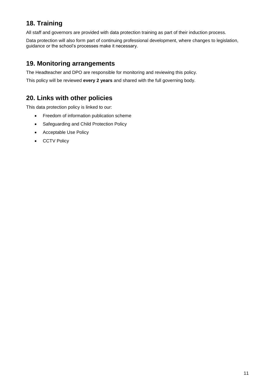# **18. Training**

All staff and governors are provided with data protection training as part of their induction process.

Data protection will also form part of continuing professional development, where changes to legislation, guidance or the school's processes make it necessary.

### **19. Monitoring arrangements**

The Headteacher and DPO are responsible for monitoring and reviewing this policy.

This policy will be reviewed **every 2 years** and shared with the full governing body.

### **20. Links with other policies**

This data protection policy is linked to our:

- Freedom of information publication scheme
- Safeguarding and Child Protection Policy
- Acceptable Use Policy
- CCTV Policy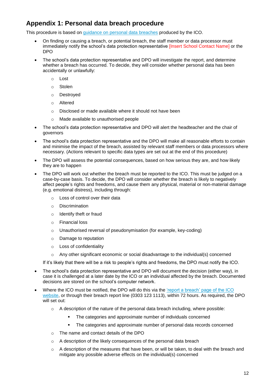# **Appendix 1: Personal data breach procedure**

This procedure is based on [guidance on personal data breaches](https://ico.org.uk/for-organisations/guide-to-the-general-data-protection-regulation-gdpr/personal-data-breaches/) produced by the ICO.

- On finding or causing a breach, or potential breach, the staff member or data processor must immediately notify the school's data protection representative [Insert School Contact Name] or the DPO
- The school's data protection representative and DPO will investigate the report, and determine whether a breach has occurred. To decide, they will consider whether personal data has been accidentally or unlawfully:
	- o Lost
	- o Stolen
	- o Destroyed
	- o Altered
	- o Disclosed or made available where it should not have been
	- o Made available to unauthorised people
- The school's data protection representative and DPO will alert the headteacher and the chair of governors
- The school's data protection representative and the DPO will make all reasonable efforts to contain and minimise the impact of the breach, assisted by relevant staff members or data processors where necessary. (Actions relevant to specific data types are set out at the end of this procedure)
- The DPO will assess the potential consequences, based on how serious they are, and how likely they are to happen
- The DPO will work out whether the breach must be reported to the ICO. This must be judged on a case-by-case basis. To decide, the DPO will consider whether the breach is likely to negatively affect people's rights and freedoms, and cause them any physical, material or non-material damage (e.g. emotional distress), including through:
	- o Loss of control over their data
	- o Discrimination
	- o Identify theft or fraud
	- o Financial loss
	- o Unauthorised reversal of pseudonymisation (for example, key-coding)
	- o Damage to reputation
	- o Loss of confidentiality
	- $\circ$  Any other significant economic or social disadvantage to the individual(s) concerned

If it's likely that there will be a risk to people's rights and freedoms, the DPO must notify the ICO.

- The school's data protection representative and DPO will document the decision (either way), in case it is challenged at a later date by the ICO or an individual affected by the breach. Documented decisions are stored on the school's computer network.
- Where the ICO must be notified, the DPO will do this via the 'report a breach' page of the ICO [website,](https://ico.org.uk/for-organisations/report-a-breach/) or through their breach report line (0303 123 1113), within 72 hours. As required, the DPO will set out:
	- $\circ$  A description of the nature of the personal data breach including, where possible:
		- The categories and approximate number of individuals concerned
		- **The categories and approximate number of personal data records concerned**
	- o The name and contact details of the DPO
	- o A description of the likely consequences of the personal data breach
	- $\circ$  A description of the measures that have been, or will be taken, to deal with the breach and mitigate any possible adverse effects on the individual(s) concerned